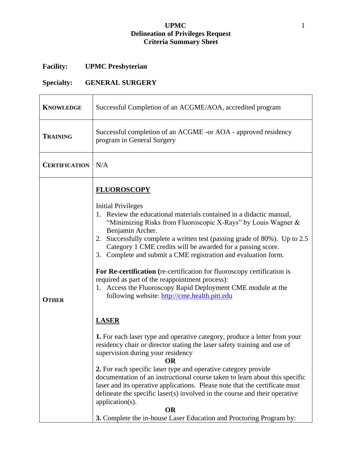## **UPMC** 1 **Delineation of Privileges Request Criteria Summary Sheet**

## **Facility: UPMC Presbyterian**

## **Specialty: GENERAL SURGERY**

| <b>KNOWLEDGE</b>     | Successful Completion of an ACGME/AOA, accredited program                                                                                                                                                                                                                                                                                                                                                                                                                                                                                                                                                                                                                                                                                                                                                                                                                                                                                                                                                                                                                                                                                                                                                                                                                                                                |
|----------------------|--------------------------------------------------------------------------------------------------------------------------------------------------------------------------------------------------------------------------------------------------------------------------------------------------------------------------------------------------------------------------------------------------------------------------------------------------------------------------------------------------------------------------------------------------------------------------------------------------------------------------------------------------------------------------------------------------------------------------------------------------------------------------------------------------------------------------------------------------------------------------------------------------------------------------------------------------------------------------------------------------------------------------------------------------------------------------------------------------------------------------------------------------------------------------------------------------------------------------------------------------------------------------------------------------------------------------|
| <b>TRAINING</b>      | Successful completion of an ACGME -or AOA - approved residency<br>program in General Surgery                                                                                                                                                                                                                                                                                                                                                                                                                                                                                                                                                                                                                                                                                                                                                                                                                                                                                                                                                                                                                                                                                                                                                                                                                             |
| <b>CERTIFICATION</b> | N/A                                                                                                                                                                                                                                                                                                                                                                                                                                                                                                                                                                                                                                                                                                                                                                                                                                                                                                                                                                                                                                                                                                                                                                                                                                                                                                                      |
| <b>OTHER</b>         | <b>FLUOROSCOPY</b><br><b>Initial Privileges</b><br>1. Review the educational materials contained in a didactic manual,<br>"Minimizing Risks from Fluoroscopic X-Rays" by Louis Wagner &<br>Benjamin Archer.<br>2. Successfully complete a written test (passing grade of 80%). Up to 2.5<br>Category 1 CME credits will be awarded for a passing score.<br>3. Complete and submit a CME registration and evaluation form.<br>For Re-certification (re-certification for fluoroscopy certification is<br>required as part of the reappointment process):<br>1. Access the Fluoroscopy Rapid Deployment CME module at the<br>following website: http://cme.health.pitt.edu<br><b>LASER</b><br>1. For each laser type and operative category, produce a letter from your<br>residency chair or director stating the laser safety training and use of<br>supervision during your residency<br><b>OR</b><br>2. For each specific laser type and operative category provide<br>documentation of an instructional course taken to learn about this specific<br>laser and its operative applications. Please note that the certificate must<br>delineate the specific laser(s) involved in the course and their operative<br>application(s).<br><b>OR</b><br>3. Complete the in-house Laser Education and Proctoring Program by: |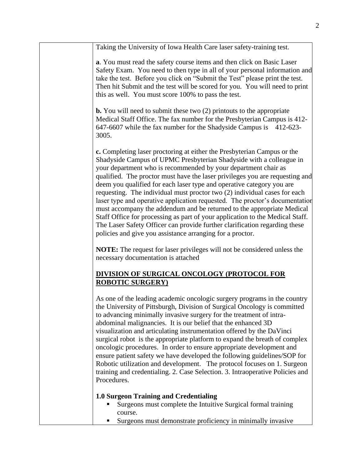| Taking the University of Iowa Health Care laser safety-training test.                                                                                                                                                                                                                                                                                                                                                                                                                                                                                                                                                                                                                                                                                                                                                                       |
|---------------------------------------------------------------------------------------------------------------------------------------------------------------------------------------------------------------------------------------------------------------------------------------------------------------------------------------------------------------------------------------------------------------------------------------------------------------------------------------------------------------------------------------------------------------------------------------------------------------------------------------------------------------------------------------------------------------------------------------------------------------------------------------------------------------------------------------------|
| a. You must read the safety course items and then click on Basic Laser<br>Safety Exam. You need to then type in all of your personal information and<br>take the test. Before you click on "Submit the Test" please print the test.<br>Then hit Submit and the test will be scored for you. You will need to print<br>this as well. You must score 100% to pass the test.                                                                                                                                                                                                                                                                                                                                                                                                                                                                   |
| <b>b.</b> You will need to submit these two $(2)$ printouts to the appropriate<br>Medical Staff Office. The fax number for the Presbyterian Campus is 412-<br>647-6607 while the fax number for the Shadyside Campus is 412-623-<br>3005.                                                                                                                                                                                                                                                                                                                                                                                                                                                                                                                                                                                                   |
| c. Completing laser proctoring at either the Presbyterian Campus or the<br>Shadyside Campus of UPMC Presbyterian Shadyside with a colleague in<br>your department who is recommended by your department chair as<br>qualified. The proctor must have the laser privileges you are requesting and<br>deem you qualified for each laser type and operative category you are<br>requesting. The individual must proctor two (2) individual cases for each<br>laser type and operative application requested. The proctor's documentation<br>must accompany the addendum and be returned to the appropriate Medical<br>Staff Office for processing as part of your application to the Medical Staff.<br>The Laser Safety Officer can provide further clarification regarding these<br>policies and give you assistance arranging for a proctor. |
| <b>NOTE:</b> The request for laser privileges will not be considered unless the<br>necessary documentation is attached                                                                                                                                                                                                                                                                                                                                                                                                                                                                                                                                                                                                                                                                                                                      |
| <b>DIVISION OF SURGICAL ONCOLOGY (PROTOCOL FOR</b><br><b>ROBOTIC SURGERY</b> )                                                                                                                                                                                                                                                                                                                                                                                                                                                                                                                                                                                                                                                                                                                                                              |
| As one of the leading academic oncologic surgery programs in the country<br>the University of Pittsburgh, Division of Surgical Oncology is committed<br>to advancing minimally invasive surgery for the treatment of intra-<br>abdominal malignancies. It is our belief that the enhanced 3D<br>visualization and articulating instrumentation offered by the DaVinci<br>surgical robot is the appropriate platform to expand the breath of complex<br>oncologic procedures. In order to ensure appropriate development and<br>ensure patient safety we have developed the following guidelines/SOP for<br>Robotic utilization and development. The protocol focuses on 1. Surgeon<br>training and credentialing. 2. Case Selection. 3. Intraoperative Policies and<br>Procedures.                                                          |
| <b>1.0 Surgeon Training and Credentialing</b><br>Surgeons must complete the Intuitive Surgical formal training<br>course.<br>Surgeons must demonstrate proficiency in minimally invasive<br>п                                                                                                                                                                                                                                                                                                                                                                                                                                                                                                                                                                                                                                               |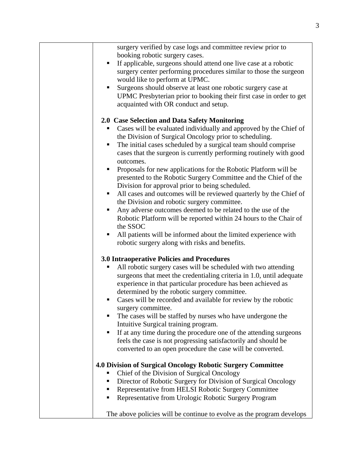| surgery verified by case logs and committee review prior to            |
|------------------------------------------------------------------------|
| booking robotic surgery cases.                                         |
| If applicable, surgeons should attend one live case at a robotic<br>п  |
| surgery center performing procedures similar to those the surgeon      |
| would like to perform at UPMC.                                         |
| Surgeons should observe at least one robotic surgery case at<br>п      |
| UPMC Presbyterian prior to booking their first case in order to get    |
| acquainted with OR conduct and setup.                                  |
|                                                                        |
| 2.0 Case Selection and Data Safety Monitoring                          |
| Cases will be evaluated individually and approved by the Chief of<br>٠ |
| the Division of Surgical Oncology prior to scheduling.                 |
| The initial cases scheduled by a surgical team should comprise<br>п    |
| cases that the surgeon is currently performing routinely with good     |
| outcomes.                                                              |
| Proposals for new applications for the Robotic Platform will be<br>п   |
| presented to the Robotic Surgery Committee and the Chief of the        |
| Division for approval prior to being scheduled.                        |
| All cases and outcomes will be reviewed quarterly by the Chief of<br>ш |
| the Division and robotic surgery committee.                            |
| Any adverse outcomes deemed to be related to the use of the<br>п       |
| Robotic Platform will be reported within 24 hours to the Chair of      |
| the SSOC                                                               |
| All patients will be informed about the limited experience with        |
| robotic surgery along with risks and benefits.                         |
|                                                                        |
| 3.0 Intraoperative Policies and Procedures                             |
| All robotic surgery cases will be scheduled with two attending         |
| surgeons that meet the credentialing criteria in 1.0, until adequate   |
| experience in that particular procedure has been achieved as           |
| determined by the robotic surgery committee.                           |
| Cases will be recorded and available for review by the robotic<br>п    |
| surgery committee.                                                     |
| The cases will be staffed by nurses who have undergone the             |
| Intuitive Surgical training program.                                   |
| If at any time during the procedure one of the attending surgeons      |
| feels the case is not progressing satisfactorily and should be         |
| converted to an open procedure the case will be converted.             |
|                                                                        |
| 4.0 Division of Surgical Oncology Robotic Surgery Committee            |
| Chief of the Division of Surgical Oncology<br>п                        |
| Director of Robotic Surgery for Division of Surgical Oncology          |
| Representative from HELSI Robotic Surgery Committee                    |
| Representative from Urologic Robotic Surgery Program                   |
|                                                                        |
| The above policies will be continue to evolve as the program develops  |